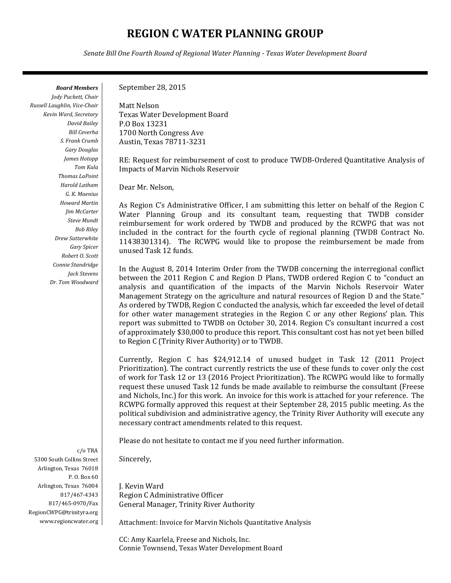## **REGION C WATER PLANNING GROUP**

*Senate Bill One Fourth Round of Regional Water Planning - Texas Water Development Board*

*Board Members Jody Puckett, Chair Russell Laughlin, Vice-Chair Kevin Ward, Secretary David Bailey Bill Ceverha S. Frank Crumb Gary Douglas James Hotopp Tom Kula Thomas LaPoint Harold Latham G. K. Maenius Howard Martin Jim McCarter Steve Mundt Bob Riley Drew Satterwhite Gary Spicer Robert O. Scott Connie Standridge Jack Stevens Dr. Tom Woodward*

c/o TRA 5300 South Collins Street Arlington, Texas 76018 P. O. Box 60 Arlington, Texas 76004 817/467-4343 817/465-0970/Fax RegionCWPG@trinityra.org www.regioncwater.org September 28, 2015

Matt Nelson Texas Water Development Board P.O Box 13231 1700 North Congress Ave Austin, Texas 78711-3231

RE: Request for reimbursement of cost to produce TWDB-Ordered Quantitative Analysis of Impacts of Marvin Nichols Reservoir

Dear Mr. Nelson,

As Region C's Administrative Officer, I am submitting this letter on behalf of the Region C Water Planning Group and its consultant team, requesting that TWDB consider reimbursement for work ordered by TWDB and produced by the RCWPG that was not included in the contract for the fourth cycle of regional planning (TWDB Contract No. 11438301314). The RCWPG would like to propose the reimbursement be made from unused Task 12 funds.

In the August 8, 2014 Interim Order from the TWDB concerning the interregional conflict between the 2011 Region C and Region D Plans, TWDB ordered Region C to "conduct an analysis and quantification of the impacts of the Marvin Nichols Reservoir Water Management Strategy on the agriculture and natural resources of Region D and the State." As ordered by TWDB, Region C conducted the analysis, which far exceeded the level of detail for other water management strategies in the Region C or any other Regions' plan. This report was submitted to TWDB on October 30, 2014. Region C's consultant incurred a cost of approximately \$30,000 to produce this report. This consultant cost has not yet been billed to Region C (Trinity River Authority) or to TWDB.

Currently, Region C has \$24,912.14 of unused budget in Task 12 (2011 Project Prioritization). The contract currently restricts the use of these funds to cover only the cost of work for Task 12 or 13 (2016 Project Prioritization). The RCWPG would like to formally request these unused Task 12 funds be made available to reimburse the consultant (Freese and Nichols, Inc.) for this work. An invoice for this work is attached for your reference. The RCWPG formally approved this request at their September 28, 2015 public meeting. As the political subdivision and administrative agency, the Trinity River Authority will execute any necessary contract amendments related to this request.

Please do not hesitate to contact me if you need further information.

Sincerely,

J. Kevin Ward Region C Administrative Officer General Manager, Trinity River Authority

Attachment: Invoice for Marvin Nichols Quantitative Analysis

CC: Amy Kaarlela, Freese and Nichols, Inc. Connie Townsend, Texas Water Development Board